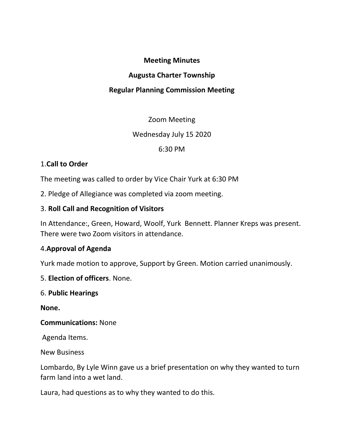#### Meeting Minutes

#### Augusta Charter Township

### Regular Planning Commission Meeting

### Zoom Meeting

### Wednesday July 15 2020

### 6:30 PM

## 1.Call to Order

The meeting was called to order by Vice Chair Yurk at 6:30 PM

2. Pledge of Allegiance was completed via zoom meeting.

## 3. Roll Call and Recognition of Visitors

In Attendance:, Green, Howard, Woolf, Yurk Bennett. Planner Kreps was present. There were two Zoom visitors in attendance.

# 4.Approval of Agenda

Yurk made motion to approve, Support by Green. Motion carried unanimously.

5. Election of officers. None.

### 6. Public Hearings

None.

### Communications: None

Agenda Items.

New Business

Lombardo, By Lyle Winn gave us a brief presentation on why they wanted to turn farm land into a wet land.

Laura, had questions as to why they wanted to do this.